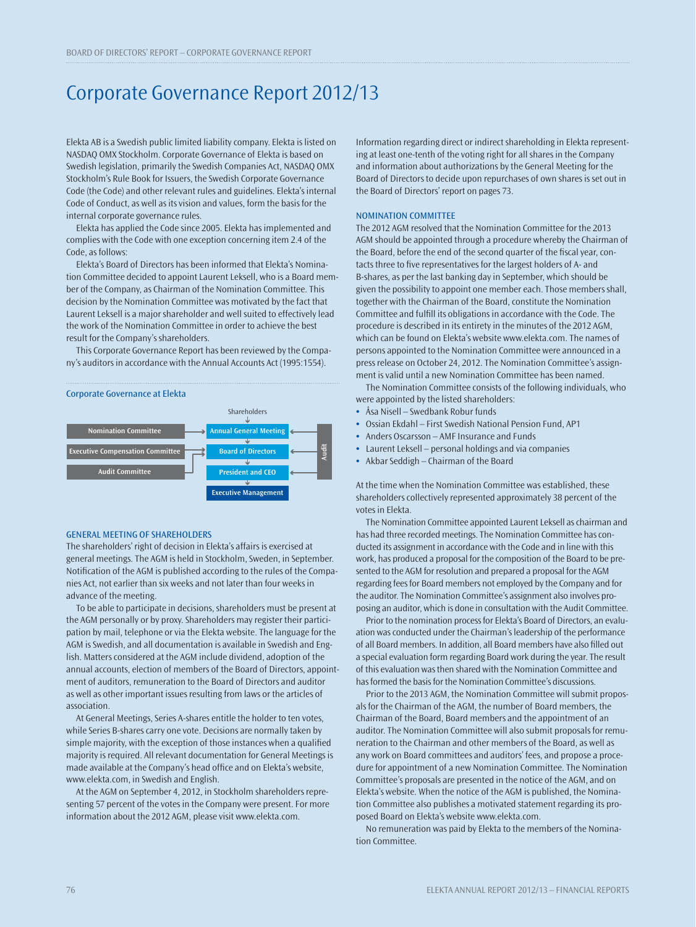# Corporate Governance Report 2012/13

Elekta AB is a Swedish public limited liability company. Elekta is listed on NASDAQ OMX Stockholm. Corporate Governance of Elekta is based on Swedish legislation, primarily the Swedish Companies Act, NASDAQ OMX Stockholm's Rule Book for Issuers, the Swedish Corporate Governance Code (the Code) and other relevant rules and guidelines. Elekta's internal Code of Conduct, as well as its vision and values, form the basis for the internal corporate governance rules.

Elekta has applied the Code since 2005. Elekta has implemented and complies with the Code with one exception concerning item 2.4 of the Code, as follows:

Elekta's Board of Directors has been informed that Elekta's Nomination Committee decided to appoint Laurent Leksell, who is a Board member of the Company, as Chairman of the Nomination Committee. This decision by the Nomination Committee was motivated by the fact that Laurent Leksell is a major shareholder and well suited to effectively lead the work of the Nomination Committee in order to achieve the best result for the Company's shareholders.

This Corporate Governance Report has been reviewed by the Company's auditors in accordance with the Annual Accounts Act (1995:1554).



### GENERAL MEETING OF SHAREHOLDERS

The shareholders' right of decision in Elekta's affairs is exercised at general meetings. The AGM is held in Stockholm, Sweden, in September. Notification of the AGM is published according to the rules of the Companies Act, not earlier than six weeks and not later than four weeks in advance of the meeting.

To be able to participate in decisions, shareholders must be present at the AGM personally or by proxy. Shareholders may register their participation by mail, telephone or via the Elekta website. The language for the AGM is Swedish, and all documentation is available in Swedish and English. Matters considered at the AGM include dividend, adoption of the annual accounts, election of members of the Board of Directors, appointment of auditors, remuneration to the Board of Directors and auditor as well as other important issues resulting from laws or the articles of association.

At General Meetings, Series A-shares entitle the holder to ten votes, while Series B-shares carry one vote. Decisions are normally taken by simple majority, with the exception of those instances when a qualified majority is required. All relevant documentation for General Meetings is made available at the Company's head office and on Elekta's website, www.elekta.com, in Swedish and English.

At the AGM on September 4, 2012, in Stockholm shareholders representing 57 percent of the votes in the Company were present. For more information about the 2012 AGM, please visit www.elekta.com.

Information regarding direct or indirect shareholding in Elekta representing at least one-tenth of the voting right for all shares in the Company and information about authorizations by the General Meeting for the Board of Directors to decide upon repurchases of own shares is set out in the Board of Directors' report on pages 73.

# NOMINATION COMMITTEE

The 2012 AGM resolved that the Nomination Committee for the 2013 AGM should be appointed through a procedure whereby the Chairman of the Board, before the end of the second quarter of the fiscal year, contacts three to five representatives for the largest holders of A- and B-shares, as per the last banking day in September, which should be given the possibility to appoint one member each. Those members shall, together with the Chairman of the Board, constitute the Nomination Committee and fulfill its obligations in accordance with the Code. The procedure is described in its entirety in the minutes of the 2012 AGM, which can be found on Elekta's website www.elekta.com. The names of persons appointed to the Nomination Committee were announced in a press release on October 24, 2012. The Nomination Committee's assignment is valid until a new Nomination Committee has been named.

The Nomination Committee consists of the following individuals, who were appointed by the listed shareholders:

- **•** Åsa Nisell Swedbank Robur funds
- **•** Ossian Ekdahl First Swedish National Pension Fund, AP1
- **•** Anders Oscarsson AMF Insurance and Funds
- **•** Laurent Leksell personal holdings and via companies
- **•** Akbar Seddigh Chairman of the Board

At the time when the Nomination Committee was established, these shareholders collectively represented approximately 38 percent of the votes in Elekta.

The Nomination Committee appointed Laurent Leksell as chairman and has had three recorded meetings. The Nomination Committee has conducted its assignment in accordance with the Code and in line with this work, has produced a proposal for the composition of the Board to be presented to the AGM for resolution and prepared a proposal for the AGM regarding fees for Board members not employed by the Company and for the auditor. The Nomination Committee's assignment also involves proposing an auditor, which is done in consultation with the Audit Committee.

Prior to the nomination process for Elekta's Board of Directors, an evaluation was conducted under the Chairman's leadership of the performance of all Board members. In addition, all Board members have also filled out a special evaluation form regarding Board work during the year. The result of this evaluation was then shared with the Nomination Committee and has formed the basis for the Nomination Committee's discussions.

Prior to the 2013 AGM, the Nomination Committee will submit proposals for the Chairman of the AGM, the number of Board members, the Chairman of the Board, Board members and the appointment of an auditor. The Nomination Committee will also submit proposals for remuneration to the Chairman and other members of the Board, as well as any work on Board committees and auditors' fees, and propose a procedure for appointment of a new Nomination Committee. The Nomination Committee's proposals are presented in the notice of the AGM, and on Elekta's website. When the notice of the AGM is published, the Nomination Committee also publishes a motivated statement regarding its proposed Board on Elekta's website www.elekta.com.

No remuneration was paid by Elekta to the members of the Nomination Committee.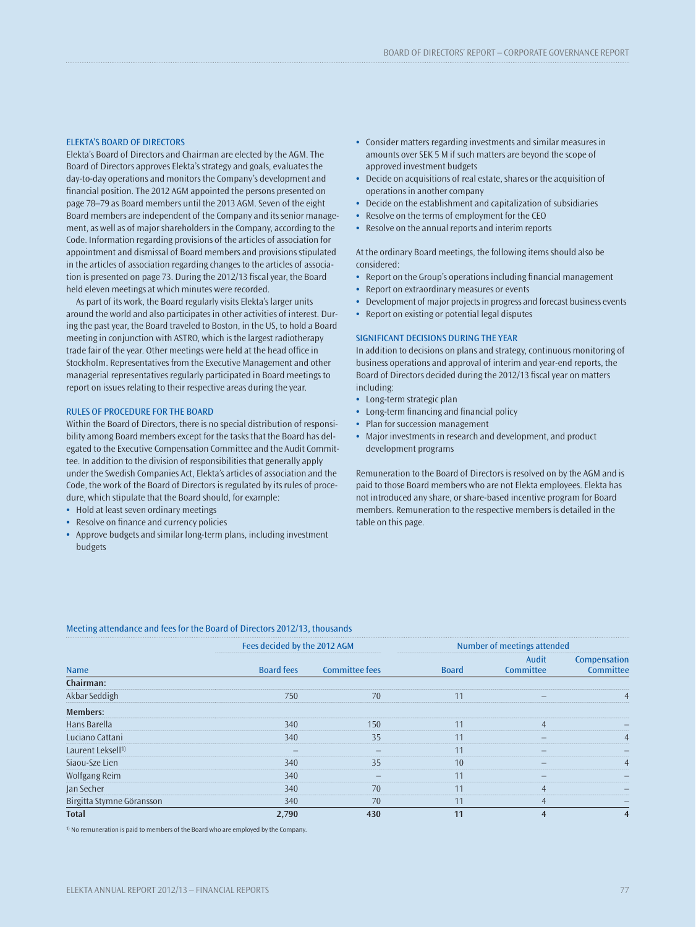### ELEKTA'S BOARD OF DIRECTORS

Elekta's Board of Directors and Chairman are elected by the AGM. The Board of Directors approves Elekta's strategy and goals, evaluates the day-to-day operations and monitors the Company's development and financial position. The 2012 AGM appointed the persons presented on page 78–79 as Board members until the 2013 AGM. Seven of the eight Board members are independent of the Company and its senior management, as well as of major shareholders in the Company, according to the Code. Information regarding provisions of the articles of association for appointment and dismissal of Board members and provisions stipulated in the articles of association regarding changes to the articles of association is presented on page 73. During the 2012/13 fiscal year, the Board held eleven meetings at which minutes were recorded.

As part of its work, the Board regularly visits Elekta's larger units around the world and also participates in other activities of interest. During the past year, the Board traveled to Boston, in the US, to hold a Board meeting in conjunction with ASTRO, which is the largest radiotherapy trade fair of the year. Other meetings were held at the head office in Stockholm. Representatives from the Executive Management and other managerial representatives regularly participated in Board meetings to report on issues relating to their respective areas during the year.

## RULES OF PROCEDURE FOR THE BOARD

Within the Board of Directors, there is no special distribution of responsibility among Board members except for the tasks that the Board has delegated to the Executive Compensation Committee and the Audit Committee. In addition to the division of responsibilities that generally apply under the Swedish Companies Act, Elekta's articles of association and the Code, the work of the Board of Directors is regulated by its rules of procedure, which stipulate that the Board should, for example:

- **•** Hold at least seven ordinary meetings
- Resolve on finance and currency policies
- **•** Approve budgets and similar long-term plans, including investment budgets
- **•** Consider matters regarding investments and similar measures in amounts over SEK 5 M if such matters are beyond the scope of approved investment budgets
- **•** Decide on acquisitions of real estate, shares or the acquisition of operations in another company
- **•** Decide on the establishment and capitalization of subsidiaries
- **•** Resolve on the terms of employment for the CEO
- **•** Resolve on the annual reports and interim reports

At the ordinary Board meetings, the following items should also be considered:

- Report on the Group's operations including financial management
- **•** Report on extraordinary measures or events
- **•** Development of major projects in progress and forecast business events
- **•** Report on existing or potential legal disputes

# SIGNIFICANT DECISIONS DURING THE YEAR

In addition to decisions on plans and strategy, continuous monitoring of business operations and approval of interim and year-end reports, the Board of Directors decided during the 2012/13 fiscal year on matters including:

- **•** Long-term strategic plan
- Long-term financing and financial policy
- **•** Plan for succession management
- **•** Major investments in research and development, and product development programs

Remuneration to the Board of Directors is resolved on by the AGM and is paid to those Board members who are not Elekta employees. Elekta has not introduced any share, or share-based incentive program for Board members. Remuneration to the respective members is detailed in the table on this page.

### Meeting attendance and fees for the Board of Directors 2012/13, thousands

|                               | Fees decided by the 2012 AGM |                       |              | Number of meetings attended |                           |  |
|-------------------------------|------------------------------|-----------------------|--------------|-----------------------------|---------------------------|--|
| <b>Name</b>                   | <b>Board fees</b>            | <b>Committee fees</b> | <b>Board</b> | Audit<br>Committee          | Compensation<br>Committee |  |
| Chairman:                     |                              |                       |              |                             |                           |  |
| Akbar Seddigh                 | 750                          | 70                    | 11           |                             | 4                         |  |
| Members:                      |                              |                       |              |                             |                           |  |
| Hans Barella                  | 340                          | 150                   | 11           |                             |                           |  |
| Luciano Cattani               | 340                          | 35                    | 11           |                             | $\overline{4}$            |  |
| Laurent Leksell <sup>1)</sup> |                              |                       | 11           |                             |                           |  |
| Siaou-Sze Lien                | 340                          | 35                    | 10           |                             | $\overline{4}$            |  |
| Wolfgang Reim                 | 340                          |                       | 11           |                             | $\qquad \qquad -$         |  |
| Jan Secher                    | 340                          | 70                    | 11           |                             | $\qquad \qquad =$         |  |
| Birgitta Stymne Göransson     | 340                          | 70                    | 11           |                             |                           |  |
| <b>Total</b>                  | 2,790                        | 430                   | 11           |                             | 4                         |  |

1) No remuneration is paid to members of the Board who are employed by the Company.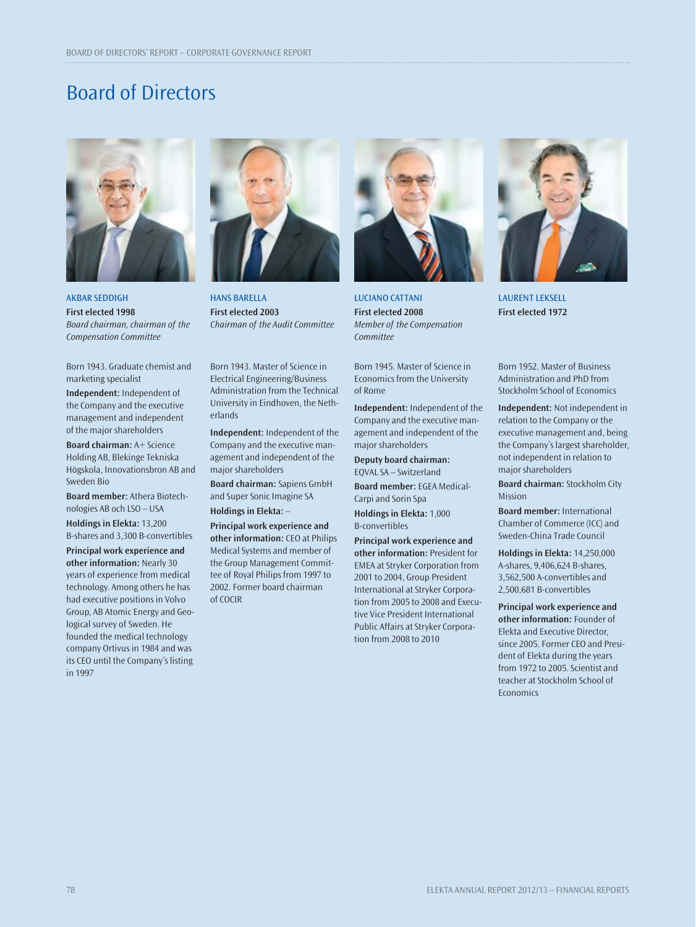# Board of Directors



AKBAR SEDDIGH **First elected 1998** Board chairman, chairman of the Compensation Committee

Born 1943. Graduate chemist and marketing specialist

**Independent:** Independent of the Company and the executive management and independent of the major shareholders

**Board chairman:** A+ Science Holding AB, Blekinge Tekniska Högskola, Innovationsbron AB and Sweden Bio

**Board member:** Athera Biotechnologies AB och LSO – USA

**Holdings in Elekta:** 13,200 B-shares and 3,300 B-convertibles

**Principal work experience and other information:** Nearly 30 years of experience from medical technology. Among others he has had executive positions in Volvo Group, AB Atomic Energy and Geological survey of Sweden. He founded the medical technology company Ortivus in 1984 and was its CEO until the Company's listing in 1997



HANS BARELLA **First elected 2003** Chairman of the Audit Committee

Born 1943. Master of Science in Electrical Engineering/Business Administration from the Technical University in Eindhoven, the Netherlands

**Independent:** Independent of the Company and the executive management and independent of the major shareholders

**Board chairman:** Sapiens GmbH and Super Sonic Imagine SA

**Holdings in Elekta:** –

**Principal work experience and other information:** CEO at Philips Medical Systems and member of the Group Management Committee of Royal Philips from 1997 to 2002. Former board chairman of COCIR



LUCIANO CATTANI **First elected 2008** Member of the Compensation **Committee** 

Born 1945. Master of Science in Economics from the University of Rome

**Independent:** Independent of the Company and the executive management and independent of the major shareholders

**Deputy board chairman:**  EQVAL SA – Switzerland

**Board member:** EGEA Medical-Carpi and Sorin Spa

**Holdings in Elekta:** 1,000 B- convertibles

**Principal work experience and other information:** President for EMEA at Stryker Corporation from 2001 to 2004, Group President International at Stryker Corporation from 2005 to 2008 and Executive Vice President International Public Affairs at Stryker Corporation from 2008 to 2010



LAURENT LEKSELL **First elected 1972**

Born 1952. Master of Business Administration and PhD from Stockholm School of Economics

**Independent:** Not independent in relation to the Company or the executive management and, being the Company's largest shareholder, not independent in relation to major shareholders

**Board chairman:** Stockholm City Mission

**Board member:** International Chamber of Commerce (ICC) and Sweden-China Trade Council

**Holdings in Elekta:** 14,250,000 A-shares, 9,406,624 B-shares, 3,562,500 A-convertibles and 2,500,681 B-convertibles

**Principal work experience and other information:** Founder of Elekta and Executive Director, since 2005. Former CEO and President of Elekta during the years from 1972 to 2005. Scientist and teacher at Stockholm School of **Economics**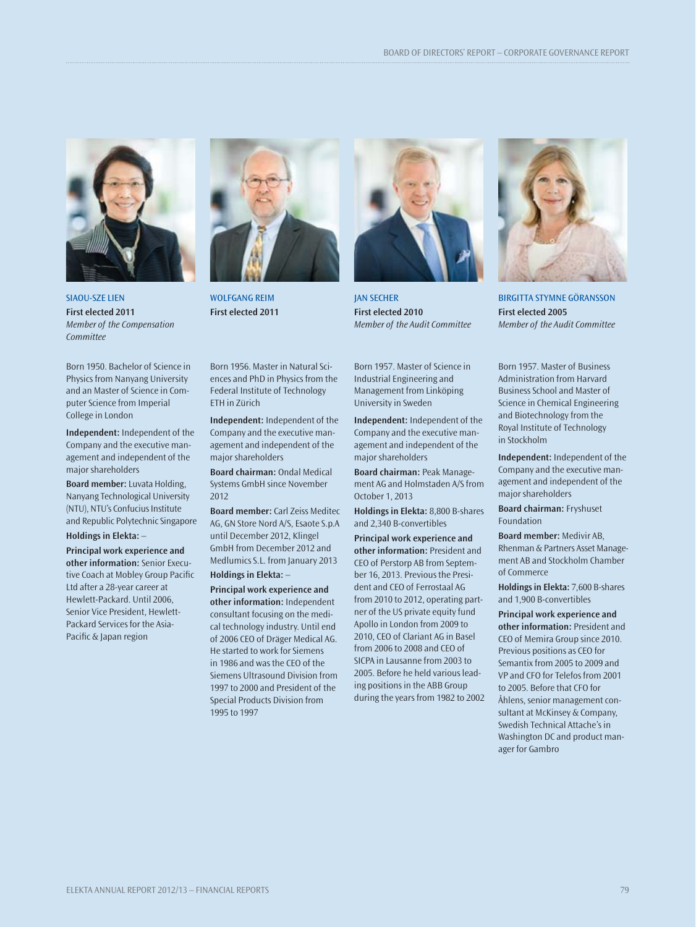

SIAOU-SZE LIEN **First elected 2011** Member of the Compensation **Committee** 

Born 1950. Bachelor of Science in Physics from Nanyang University and an Master of Science in Computer Science from Imperial College in London

**Independent:** Independent of the Company and the executive management and independent of the major shareholders

**Board member:** Luvata Holding, Nanyang Technological University (NTU), NTU's Confucius Institute and Republic Polytechnic Singapore

**Holdings in Elekta:** –

**Principal work experience and other information:** Senior Executive Coach at Mobley Group Pacific Ltd after a 28-year career at Hewlett-Packard. Until 2006, Senior Vice President, Hewlett-Packard Services for the Asia-Pacific & Japan region



Born 1956. Master in Natural Sci-

Federal Institute of Technology

**Independent:** Independent of the Company and the executive management and independent of the

**Board chairman:** Ondal Medical Systems GmbH since November

**Board member:** Carl Zeiss Meditec AG, GN Store Nord A/S, Esaote S.p.A until December 2012, Klingel GmbH from December 2012 and Medlumics S.L. from January 2013

**Principal work experience and other information:** Independent consultant focusing on the medical technology industry. Until end of 2006 CEO of Dräger Medical AG. He started to work for Siemens in 1986 and was the CEO of the Siemens Ultrasound Division from 1997 to 2000 and President of the Special Products Division from

WOLFGANG REIM **First elected 2011**

ETH in Zürich

2012

major shareholders

**Holdings in Elekta:** –

1995 to 1997



JAN SECHER **First elected 2010** Member of the Audit Committee

ences and PhD in Physics from the Born 1957. Master of Science in Industrial Engineering and Management from Linköping University in Sweden

> **Independent:** Independent of the Company and the executive management and independent of the major shareholders

**Board chairman:** Peak Management AG and Holmstaden A/S from October 1, 2013

**Holdings in Elekta:** 8,800 B-shares and 2,340 B-convertibles

**Principal work experience and other information:** President and CEO of Perstorp AB from September 16, 2013. Previous the President and CEO of Ferrostaal AG from 2010 to 2012, operating partner of the US private equity fund Apollo in London from 2009 to 2010, CEO of Clariant AG in Basel from 2006 to 2008 and CEO of SICPA in Lausanne from 2003 to 2005. Before he held various leading positions in the ABB Group during the years from 1982 to 2002



BIRGITTA STYMNE GÖRANSSON **First elected 2005** Member of the Audit Committee

Born 1957. Master of Business Administration from Harvard Business School and Master of Science in Chemical Engineering and Biotechnology from the Royal Institute of Technology in Stockholm

**Independent:** Independent of the Company and the executive management and independent of the major shareholders

**Board chairman:** Fryshuset Foundation

**Board member:** Medivir AB, Rhenman & Partners Asset Management AB and Stockholm Chamber of Commerce

**Holdings in Elekta:** 7,600 B-shares and 1,900 B-convertibles

**Principal work experience and other information:** President and CEO of Memira Group since 2010. Previous positions as CEO for Semantix from 2005 to 2009 and VP and CFO for Telefos from 2001 to 2005. Before that CFO for Åhlens, senior management consultant at McKinsey & Company, Swedish Technical Attache's in Washington DC and product manager for Gambro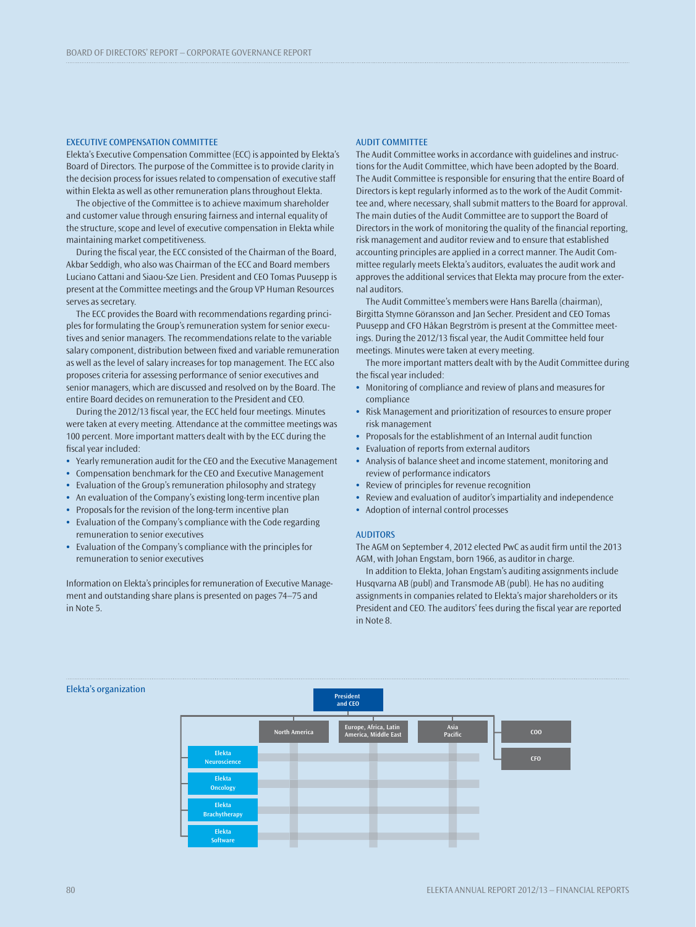### EXECUTIVE COMPENSATION COMMITTEE

Elekta's Executive Compensation Committee (ECC) is appointed by Elekta's Board of Directors. The purpose of the Committee is to provide clarity in the decision process for issues related to compensation of executive staff within Elekta as well as other remuneration plans throughout Elekta.

The objective of the Committee is to achieve maximum shareholder and customer value through ensuring fairness and internal equality of the structure, scope and level of executive compensation in Elekta while maintaining market competitiveness.

During the fiscal year, the ECC consisted of the Chairman of the Board, Akbar Seddigh, who also was Chairman of the ECC and Board members Luciano Cattani and Siaou-Sze Lien. President and CEO Tomas Puusepp is present at the Committee meetings and the Group VP Human Resources serves as secretary.

The ECC provides the Board with recommendations regarding principles for formulating the Group's remuneration system for senior executives and senior managers. The recommendations relate to the variable salary component, distribution between fixed and variable remuneration as well as the level of salary increases for top management. The ECC also proposes criteria for assessing performance of senior executives and senior managers, which are discussed and resolved on by the Board. The entire Board decides on remuneration to the President and CEO.

During the 2012/13 fiscal year, the ECC held four meetings. Minutes were taken at every meeting. Attendance at the committee meetings was 100 percent. More important matters dealt with by the ECC during the fiscal year included:

- **•** Yearly remuneration audit for the CEO and the Executive Management
- **•** Compensation benchmark for the CEO and Executive Management
- **•** Evaluation of the Group's remuneration philosophy and strategy
- **•** An evaluation of the Company's existing long-term incentive plan
- **•** Proposals for the revision of the long-term incentive plan
- **•** Evaluation of the Company's compliance with the Code regarding remuneration to senior executives
- **•** Evaluation of the Company's compliance with the principles for remuneration to senior executives

Information on Elekta's principles for remuneration of Executive Management and outstanding share plans is presented on pages 74–75 and in Note 5.

## AUDIT COMMITTEE

The Audit Committee works in accordance with guidelines and instructions for the Audit Committee, which have been adopted by the Board. The Audit Committee is responsible for ensuring that the entire Board of Directors is kept regularly informed as to the work of the Audit Committee and, where necessary, shall submit matters to the Board for approval. The main duties of the Audit Committee are to support the Board of Directors in the work of monitoring the quality of the financial reporting, risk management and auditor review and to ensure that established accounting principles are applied in a correct manner. The Audit Committee regularly meets Elekta's auditors, evaluates the audit work and approves the additional services that Elekta may procure from the external auditors.

The Audit Committee's members were Hans Barella (chairman), Birgitta Stymne Göransson and Jan Secher. President and CEO Tomas Puusepp and CFO Håkan Begrström is present at the Committee meetings. During the 2012/13 fiscal year, the Audit Committee held four meetings. Minutes were taken at every meeting.

The more important matters dealt with by the Audit Committee during the fiscal year included:

- **•** Monitoring of compliance and review of plans and measures for compliance
- **•** Risk Management and prioritization of resources to ensure proper risk management
- **•** Proposals for the establishment of an Internal audit function
- **•** Evaluation of reports from external auditors
- **•** Analysis of balance sheet and income statement, monitoring and review of performance indicators
- **•** Review of principles for revenue recognition
- **•** Review and evaluation of auditor's impartiality and independence
- **•** Adoption of internal control processes

#### AUDITORS

The AGM on September 4, 2012 elected PwC as audit firm until the 2013 AGM, with Johan Engstam, born 1966, as auditor in charge.

In addition to Elekta, Johan Engstam's auditing assignments include Husqvarna AB (publ) and Transmode AB (publ). He has no auditing assignments in companies related to Elekta's major shareholders or its President and CEO. The auditors' fees during the fiscal year are reported in Note 8.

#### Elekta's organization

|                         |               | President<br>and CEO                          |                 |                |
|-------------------------|---------------|-----------------------------------------------|-----------------|----------------|
|                         | North America | Europe, Africa, Latin<br>America, Middle East | Asia<br>Pacific | C <sub>0</sub> |
| Elekta<br>Neuroscience  |               |                                               |                 | <b>CFO</b>     |
| Elekta<br>Oncology      |               |                                               |                 |                |
| Elekta<br>Brachytherapy |               |                                               |                 |                |
| Elekta<br>Software      |               |                                               |                 |                |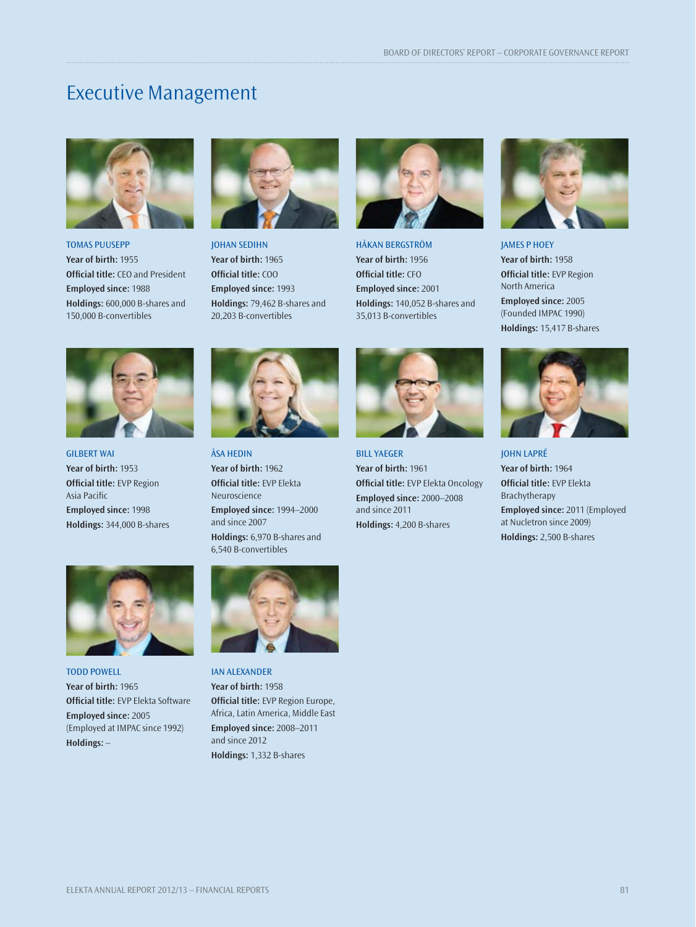# Executive Management



TOMAS PUUSEPP **Year of birth:** 1955 **Official title: CEO and President Employed since:** 1988 **Holdings:** 600,000 B-shares and 150,000 B-convertibles



JOHAN SEDIHN **Year of birth:** 1965 **Official title: COO Employed since:** 1993 **Holdings:** 79,462 B-shares and 20,203 B-convertibles



HÅKAN BERGSTRÖM **Year of birth:** 1956 **Official title: CFO Employed since:** 2001 **Holdings:** 140,052 B-shares and 35,013 B-convertibles



JAMES P HOEY **Year of birth:** 1958 **Official title: EVP Region** North America **Employed since:** 2005 (Founded IMPAC 1990) **Holdings:** 15,417 B-shares



GILBERT WAI **Year of birth:** 1953 **Official title: EVP Region** Asia Pacific **Employed since:** 1998 **Holdings:** 344,000 B-shares



TODD POWELL **Year of birth:** 1965 **Official title:** EVP Elekta Software **Employed since:** 2005 (Employed at IMPAC since 1992) **Holdings:** –



ÅSA HEDIN **Year of birth:** 1962 **Official title: EVP Elekta**  Neuroscience **Employed since:** 1994–2000 and since 2007 **Holdings:** 6,970 B-shares and 6,540 B-convertibles



IAN ALEXANDER

**Year of birth:** 1958 **Official title:** EVP Region Europe, Africa, Latin America, Middle East **Employed since:** 2008–2011 and since 2012 **Holdings:** 1,332 B-shares



BILL YAEGER **Year of birth:** 1961 **Official title:** EVP Elekta Oncology **Employed since:** 2000–2008 and since 2011 **Holdings:** 4,200 B-shares



JOHN LAPRÉ **Year of birth:** 1964 **Official title: EVP Elekta**  Brachytherapy **Employed since:** 2011 (Employed at Nucletron since 2009) **Holdings:** 2,500 B-shares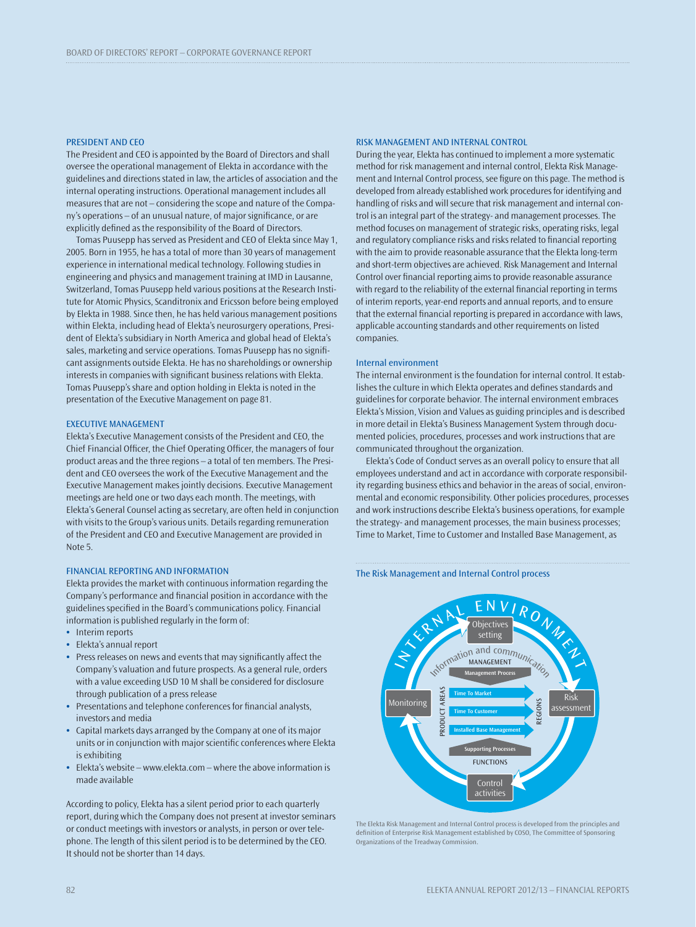### PRESIDENT AND CEO

The President and CEO is appointed by the Board of Directors and shall oversee the operational management of Elekta in accordance with the guidelines and directions stated in law, the articles of association and the internal operating instructions. Operational management includes all measures that are not – considering the scope and nature of the Company's operations – of an unusual nature, of major significance, or are explicitly defined as the responsibility of the Board of Directors.

Tomas Puusepp has served as President and CEO of Elekta since May 1, 2005. Born in 1955, he has a total of more than 30 years of management experience in international medical technology. Following studies in engineering and physics and management training at IMD in Lausanne, Switzerland, Tomas Puusepp held various positions at the Research Institute for Atomic Physics, Scanditronix and Ericsson before being employed by Elekta in 1988. Since then, he has held various management positions within Elekta, including head of Elekta's neurosurgery operations, President of Elekta's subsidiary in North America and global head of Elekta's sales, marketing and service operations. Tomas Puusepp has no significant assignments outside Elekta. He has no shareholdings or ownership interests in companies with significant business relations with Elekta. Tomas Puusepp's share and option holding in Elekta is noted in the presentation of the Executive Management on page 81.

### EXECUTIVE MANAGEMENT

Elekta's Executive Management consists of the President and CEO, the Chief Financial Officer, the Chief Operating Officer, the managers of four product areas and the three regions – a total of ten members. The President and CEO oversees the work of the Executive Management and the Executive Management makes jointly decisions. Executive Management meetings are held one or two days each month. The meetings, with Elekta's General Counsel acting as secretary, are often held in conjunction with visits to the Group's various units. Details regarding remuneration of the President and CEO and Executive Management are provided in Note 5.

## FINANCIAL REPORTING AND INFORMATION

Elekta provides the market with continuous information regarding the Company's performance and financial position in accordance with the guidelines specified in the Board's communications policy. Financial information is published regularly in the form of:

- **•** Interim reports
- **•** Elekta's annual report
- Press releases on news and events that may significantly affect the Company's valuation and future prospects. As a general rule, orders with a value exceeding USD 10 M shall be considered for disclosure through publication of a press release
- Presentations and telephone conferences for financial analysts, investors and media
- **•** Capital markets days arranged by the Company at one of its major units or in conjunction with major scientific conferences where Elekta is exhibiting
- **•** Elekta's website www.elekta.com where the above information is made available

According to policy, Elekta has a silent period prior to each quarterly report, during which the Company does not present at investor seminars or conduct meetings with investors or analysts, in person or over telephone. The length of this silent period is to be determined by the CEO. It should not be shorter than 14 days.

#### RISK MANAGEMENT AND INTERNAL CONTROL

During the year, Elekta has continued to implement a more systematic method for risk management and internal control, Elekta Risk Management and Internal Control process, see figure on this page. The method is developed from already established work procedures for identifying and handling of risks and will secure that risk management and internal control is an integral part of the strategy- and management processes. The method focuses on management of strategic risks, operating risks, legal and regulatory compliance risks and risks related to financial reporting with the aim to provide reasonable assurance that the Elekta long-term and short-term objectives are achieved. Risk Management and Internal Control over financial reporting aims to provide reasonable assurance with regard to the reliability of the external financial reporting in terms of interim reports, year-end reports and annual reports, and to ensure that the external financial reporting is prepared in accordance with laws, applicable accounting standards and other requirements on listed companies.

### Internal environment

The internal environment is the foundation for internal control. It establishes the culture in which Elekta operates and defines standards and guidelines for corporate behavior. The internal environment embraces Elekta's Mission, Vision and Values as guiding principles and is described in more detail in Elekta's Business Management System through documented policies, procedures, processes and work instructions that are communicated throughout the organization.

Elekta's Code of Conduct serves as an overall policy to ensure that all employees understand and act in accordance with corporate responsibility regarding business ethics and behavior in the areas of social, environmental and economic responsibility. Other policies procedures, processes and work instructions describe Elekta's business operations, for example the strategy- and management processes, the main business processes; Time to Market, Time to Customer and Installed Base Management, as

### The Risk Management and Internal Control process



The Elekta Risk Management and Internal Control process is developed from the principles and definition of Enterprise Risk Management established by COSO, The Committee of Sponsoring Organizations of the Treadway Commission.